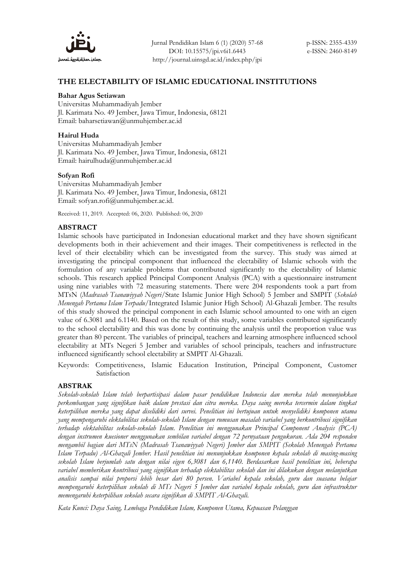

# **THE ELECTABILITY OF ISLAMIC EDUCATIONAL INSTITUTIONS**

### **Bahar Agus Setiawan**

Universitas Muhammadiyah Jember Jl. Karimata No. 49 Jember, Jawa Timur, Indonesia, 68121 Email: baharsetiawan@unmuhjember.ac.id

## **Hairul Huda**

Universitas Muhammadiyah Jember Jl. Karimata No. 49 Jember, Jawa Timur, Indonesia, 68121 Email: hairulhuda@unmuhjember.ac.id

### **Sofyan Rofi**

Universitas Muhammadiyah Jember Jl. Karimata No. 49 Jember, Jawa Timur, Indonesia, 68121 Email: [sofyan.rofi@unmuhjember.ac.id.](mailto:sofyan.rofi@unmuhjember.ac.id)

Received: 11, 2019. Accepted: 06, 2020. Published: 06, 2020

## **ABSTRACT**

Islamic schools have participated in Indonesian educational market and they have shown significant developments both in their achievement and their images. Their competitiveness is reflected in the level of their electability which can be investigated from the survey. This study was aimed at investigating the principal component that influenced the electability of Islamic schools with the formulation of any variable problems that contributed significantly to the electability of Islamic schools. This research applied Principal Component Analysis (PCA) with a questionnaire instrument using nine variables with 72 measuring statements. There were 204 respondents took a part from MTsN (*Madrasah Tsanawiyyah Negeri*/State Islamic Junior High School) 5 Jember and SMPIT (*Sekolah Menengah Pertama Islam Terpadu*/Integrated Islamic Junior High School) Al-Ghazali Jember. The results of this study showed the principal component in each Islamic school amounted to one with an eigen value of 6.3081 and 6.1140. Based on the result of this study, some variables contributed significantly to the school electability and this was done by continuing the analysis until the proportion value was greater than 80 percent. The variables of principal, teachers and learning atmosphere influenced school electability at MTs Negeri 5 Jember and variables of school principals, teachers and infrastructure influenced significantly school electability at SMPIT Al-Ghazali.

Keywords: Competitiveness, Islamic Education Institution, Principal Component, Customer Satisfaction

## **ABSTRAK**

*Sekolah-sekolah Islam telah berpartisipasi dalam pasar pendidikan Indonesia dan mereka telah menunjukkan perkembangan yang signifikan baik dalam prestasi dan citra mereka. Daya saing mereka tercermin dalam tingkat keterpilihan mereka yang dapat diselidiki dari survei. Penelitian ini bertujuan untuk menyelidiki komponen utama yang mempengaruhi elektabilitas sekolah-sekolah Islam dengan rumusan masalah variabel yang berkontribusi signifikan terhadap elektabilitas sekolah-sekolah Islam. Penelitian ini menggunakan Principal Component Analysis (PCA) dengan instrumen kuesioner menggunakan sembilan variabel dengan 72 pernyataan pengukuran. Ada 204 responden mengambil bagian dari MTsN (Madrasah Tsanawiyyah Negeri) Jember dan SMPIT (Sekolah Menengah Pertama Islam Terpadu) Al-Ghazali Jember. Hasil penelitian ini menunjukkan komponen kepala sekolah di masing-masing sekolah Islam berjumlah satu dengan nilai eigen 6,3081 dan 6,1140. Berdasarkan hasil penelitian ini, beberapa variabel memberikan kontribusi yang signifikan terhadap elektabilitas sekolah dan ini dilakukan dengan melanjutkan analisis sampai nilai proporsi lebih besar dari 80 persen. Variabel kepala sekolah, guru dan suasana belajar mempengaruhi keterpilihan sekolah di MTs Negeri 5 Jember dan variabel kepala sekolah, guru dan infrastruktur memengaruhi keterpilihan sekolah secara signifikan di SMPIT Al-Ghazali.*

*Kata Kunci: Daya Saing, Lembaga Pendidikan Islam, Komponen Utama, Kepuasan Pelanggan*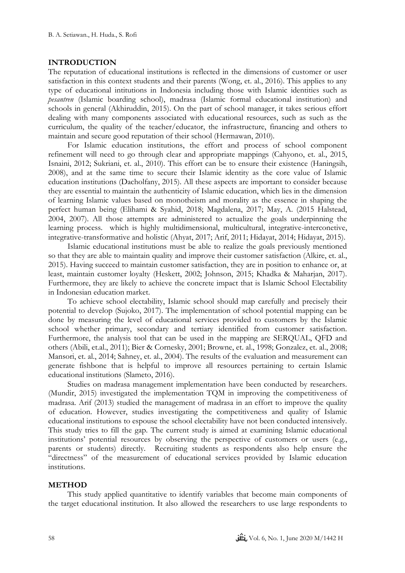### **INTRODUCTION**

The reputation of educational institutions is reflected in the dimensions of customer or user satisfaction in this context students and their parents (Wong, et. al., 2016). This applies to any type of educational intitutions in Indonesia including those with Islamic identities such as *pesantren* (Islamic boarding school), madrasa (Islamic formal educational institution) and schools in general (Akhiruddin, 2015). On the part of school manager, it takes serious effort dealing with many components associated with educational resources, such as such as the curriculum, the quality of the teacher/educator, the infrastructure, financing and others to maintain and secure good reputation of their school (Hermawan, 2010).

For Islamic education institutions, the effort and process of school component refinement will need to go through clear and appropriate mappings (Cahyono, et. al., 2015, Isnaini, 2012; Sukriani, et. al., 2010). This effort can be to ensure their existence (Haningsih, 2008), and at the same time to secure their Islamic identity as the core value of Islamic education institutions (Dacholfany, 2015). All these aspects are important to consider because they are essential to maintain the authenticity of Islamic education, which lies in the dimension of learning Islamic values based on monotheism and morality as the essence in shaping the perfect human being (Elihami & Syahid, 2018; Magdalena, 2017; May, A. (2015 Halstead, 2004, 2007). All those attempts are administered to actualize the goals underpinning the learning process. which is highly multidimensional, multicultural, integrative-interconetive, integrative-transformative and holistic (Ahyat, 2017; Arif, 2011; Hidayat, 2014; Hidayat, 2015).

Islamic educational institutions must be able to realize the goals previously mentioned so that they are able to maintain quality and improve their customer satisfaction (Alkire, et. al., 2015). Having succeed to maintain customer satisfaction, they are in position to enhance or, at least, maintain customer loyalty (Heskett, 2002; Johnson, 2015; Khadka & Maharjan, 2017). Furthermore, they are likely to achieve the concrete impact that is Islamic School Electability in Indonesian education market.

To achieve school electability, Islamic school should map carefully and precisely their potential to develop (Sujoko, 2017). The implementation of school potential mapping can be done by measuring the level of educational services provided to customers by the Islamic school whether primary, secondary and tertiary identified from customer satisfaction. Furthermore, the analysis tool that can be used in the mapping are SERQUAL, QFD and others (Abili, et.al., 2011); Bier & Cornesky, 2001; Browne, et. al., 1998; Gonzalez, et. al., 2008; Mansori, et. al., 2014; Sahney, et. al., 2004). The results of the evaluation and measurement can generate fishbone that is helpful to improve all resources pertaining to certain Islamic educational institutions (Slameto, 2016).

Studies on madrasa management implementation have been conducted by researchers. (Mundir, 2015) investigated the implementation TQM in improving the competitiveness of madrasa. Arif (2013) studied the management of madrasa in an effort to improve the quality of education. However, studies investigating the competitiveness and quality of Islamic educational institutions to espouse the school electability have not been conducted intensively. This study tries to fill the gap. The current study is aimed at examining Islamic educational institutions' potential resources by observing the perspective of customers or users (e.g., parents or students) directly. Recruiting students as respondents also help ensure the "directness" of the measurement of educational services provided by Islamic education institutions.

#### **METHOD**

This study applied quantitative to identify variables that become main components of the target educational institution. It also allowed the researchers to use large respondents to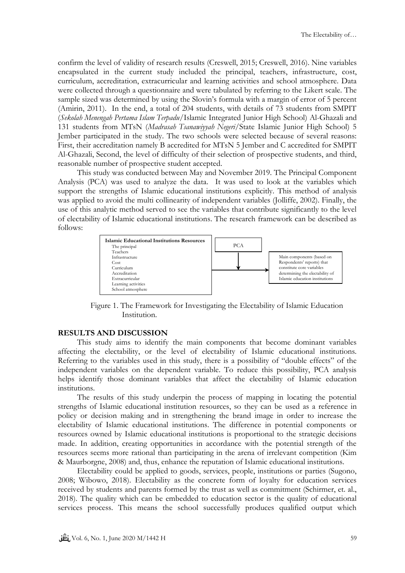confirm the level of validity of research results (Creswell, 2015; Creswell, 2016). Nine variables encapsulated in the current study included the principal, teachers, infrastructure, cost, curriculum, accreditation, extracurricular and learning activities and school atmosphere. Data were collected through a questionnaire and were tabulated by referring to the Likert scale. The sample sized was determined by using the Slovin's formula with a margin of error of 5 percent (Amirin, 2011). In the end, a total of 204 students, with details of 73 students from SMPIT (*Sekolah Menengah Pertama Islam Terpadu*/Islamic Integrated Junior High School) Al-Ghazali and 131 students from MTsN (*Madrasah Tsanawiyyah Negeri*/State Islamic Junior High School) 5 Jember participated in the study. The two schools were selected because of several reasons: First, their accreditation namely B accredited for MTsN 5 Jember and C accredited for SMPIT Al-Ghazali, Second, the level of difficulty of their selection of prospective students, and third, reasonable number of prospective student accepted.

This study was conducted between May and November 2019. The Principal Component Analysis (PCA) was used to analyze the data. It was used to look at the variables which support the strengths of Islamic educational institutions explicitly. This method of analysis was applied to avoid the multi collinearity of independent variables (Jolliffe, 2002). Finally, the use of this analytic method served to see the variables that contribute significantly to the level of electability of Islamic educational institutions. The research framework can be described as follows:



Figure 1. The Framework for Investigating the Electability of Islamic Education Institution.

## **RESULTS AND DISCUSSION**

This study aims to identify the main components that become dominant variables affecting the electability, or the level of electability of Islamic educational institutions. Referring to the variables used in this study, there is a possibility of "double effects" of the independent variables on the dependent variable. To reduce this possibility, PCA analysis helps identify those dominant variables that affect the electability of Islamic education institutions.

The results of this study underpin the process of mapping in locating the potential strengths of Islamic educational institution resources, so they can be used as a reference in policy or decision making and in strengthening the brand image in order to increase the electability of Islamic educational institutions. The difference in potential components or resources owned by Islamic educational institutions is proportional to the strategic decisions made. In addition, creating opportunities in accordance with the potential strength of the resources seems more rational than participating in the arena of irrelevant competition (Kim & Maurborgne, 2008) and, thus, enhance the reputation of Islamic educational institutions.

Electability could be applied to goods, services, people, institutions or parties (Sugono, 2008; Wibowo, 2018). Electability as the concrete form of loyalty for education services received by students and parents formed by the trust as well as commitment (Schirmer, et. al., 2018). The quality which can be embedded to education sector is the quality of educational services process. This means the school successfully produces qualified output which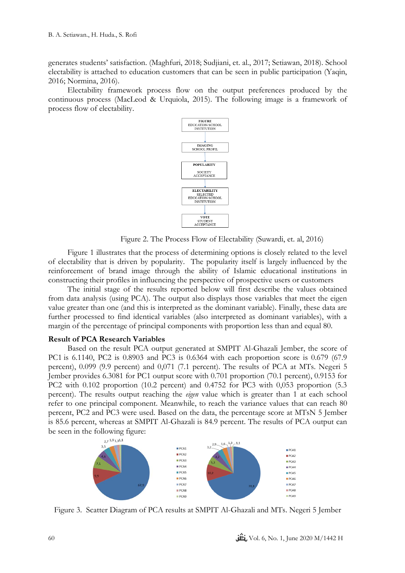generates students' satisfaction. (Maghfuri, 2018; Sudjiani, et. al., 2017; Setiawan, 2018). School electability is attached to education customers that can be seen in public participation (Yaqin, 2016; Normina, 2016).

Electability framework process flow on the output preferences produced by the continuous process (MacLeod & Urquiola, 2015). The following image is a framework of process flow of electability.



Figure 2. The Process Flow of Electability (Suwardi, et. al, 2016)

Figure 1 illustrates that the process of determining options is closely related to the level of electability that is driven by popularity. The popularity itself is largely influenced by the reinforcement of brand image through the ability of Islamic educational institutions in constructing their profiles in influencing the perspective of prospective users or customers

The initial stage of the results reported below will first describe the values obtained from data analysis (using PCA). The output also displays those variables that meet the eigen value greater than one (and this is interpreted as the dominant variable). Finally, these data are further processed to find identical variables (also interpreted as dominant variables), with a margin of the percentage of principal components with proportion less than and equal 80.

### **Result of PCA Research Variables**

Based on the result PCA output generated at SMPIT Al-Ghazali Jember, the score of PC1 is 6.1140, PC2 is 0.8903 and PC3 is 0.6364 with each proportion score is 0.679 (67.9 percent), 0.099 (9.9 percent) and 0,071 (7.1 percent). The results of PCA at MTs. Negeri 5 Jember provides 6.3081 for PC1 output score with 0.701 proportion (70.1 percent), 0.9153 for PC2 with 0.102 proportion (10.2 percent) and 0.4752 for PC3 with 0,053 proportion (5.3 percent). The results output reaching the *eigen* value which is greater than 1 at each school refer to one principal component. Meanwhile, to reach the variance values that can reach 80 percent, PC2 and PC3 were used. Based on the data, the percentage score at MTsN 5 Jember is 85.6 percent, whereas at SMPIT Al-Ghazali is 84.9 percent. The results of PCA output can be seen in the following figure:<br> $\sum_{2.7^{1,9}1,3^{1,1}}$ 



Figure 3. Scatter Diagram of PCA results at SMPIT Al-Ghazali and MTs. Negeri 5 Jember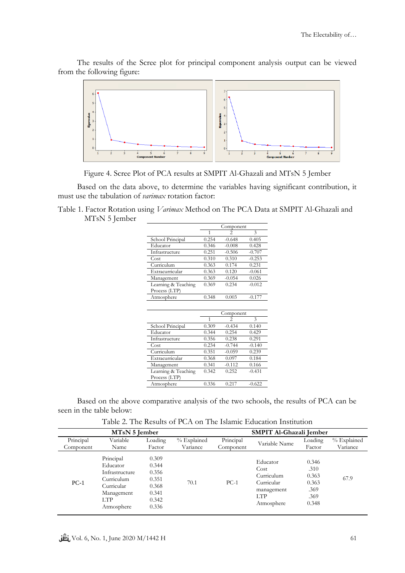

The results of the Scree plot for principal component analysis output can be viewed from the following figure:

Figure 4. Scree Plot of PCA results at SMPIT Al-Ghazali and MTsN 5 Jember

Based on the data above, to determine the variables having significant contribution, it must use the tabulation of *varimax* rotation factor:

Table 1. Factor Rotation using *Varimax* Method on The PCA Data at SMPIT Al-Ghazali and MTsN 5 Jember

|                     | Component |                |          |  |
|---------------------|-----------|----------------|----------|--|
|                     | 1         | 2              | 3        |  |
| School Principal    | 0.254     | $-0.648$       | 0.405    |  |
| Educator            | 0.346     | $-0.008$       | 0.428    |  |
| Infrastructure      | 0.251     | $-0.506$       | $-0.707$ |  |
| Cost                | 0.310     | 0.310          | $-0.253$ |  |
| Curriculum          | 0.363     | 0.174          | 0.231    |  |
| Extracurricular     | 0.363     | 0.120          | $-0.061$ |  |
| Management          | 0.369     | $-0.054$       | 0.026    |  |
| Learning & Teaching | 0.369     | 0.234          | $-0.012$ |  |
| Process (LTP)       |           |                |          |  |
| Atmosphere          | 0.348     | 0.003          | $-0.177$ |  |
|                     |           |                |          |  |
|                     | Component |                |          |  |
|                     | 1         | $\overline{c}$ | 3        |  |
| School Principal    | 0.309     | $-0.434$       | 0.140    |  |
| Educator            | 0.344     | 0.254          | 0.429    |  |
| Infrastructure      | 0.356     | 0.238          | 0.291    |  |
| Cost                | 0.234     | $-0.744$       | $-0.140$ |  |
| Curriculum          | 0.351     | $-0.059$       | 0.239    |  |
| Extracurricular     | 0.368     | 0.097          | 0.184    |  |
| 1 <i>A</i> .        | 0.244     | 0.112          | 0.100    |  |

| management          | 0.071 | $\sim$ $\sim$ | $v_{\star}$ too |
|---------------------|-------|---------------|-----------------|
| Learning & Teaching | 0.342 | 0.252         | $-0.431$        |
| Process (LTP)       |       |               |                 |
| Atmosphere          | 0.336 | 0.217         | $-0.622$        |

Based on the above comparative analysis of the two schools, the results of PCA can be seen in the table below:

Table 2. The Results of PCA on The Islamic Education Institution

| MT <sub>s</sub> N 5 Jember |                                                                                                         |                                                                      | SMPIT Al-Ghazali Jember   |                        |                                                                                        |                                                          |                         |
|----------------------------|---------------------------------------------------------------------------------------------------------|----------------------------------------------------------------------|---------------------------|------------------------|----------------------------------------------------------------------------------------|----------------------------------------------------------|-------------------------|
| Principal<br>Component     | Variable<br>Name                                                                                        | Loading<br>Factor                                                    | $%$ Explained<br>Variance | Principal<br>Component | Variable Name                                                                          | Loading<br>Factor                                        | % Explained<br>Variance |
| $PC-1$                     | Principal<br>Educator<br>Infrastructure<br>Curriculum<br>Curricular<br>Management<br>LTP.<br>Atmosphere | 0.309<br>0.344<br>0.356<br>0.351<br>0.368<br>0.341<br>0.342<br>0.336 | 70.1                      | $PC-1$                 | Educator<br>Cost<br>Curriculum<br>Curricular<br>management<br><b>LTP</b><br>Atmosphere | 0.346<br>.310<br>0.363<br>0.363<br>.369<br>.369<br>0.348 | 67.9                    |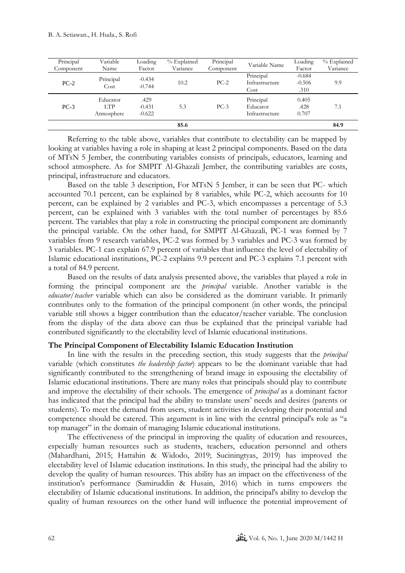| Principal<br>Component | Variable<br>Name              | Loading<br>Factor            | % Explained<br>Variance | Principal<br>Component | Variable Name                           | Loading<br>Factor            | % Explained<br>Variance |
|------------------------|-------------------------------|------------------------------|-------------------------|------------------------|-----------------------------------------|------------------------------|-------------------------|
| $PC-2$                 | Principal<br>Cost             | $-0.434$<br>$-0.744$         | 10.2                    | $PC-2$                 | Principal<br>Infrastructure<br>Cost     | $-0.684$<br>$-0.506$<br>.310 | 9.9                     |
| $PC-3$                 | Educator<br>LTP<br>Atmosphere | .429<br>$-0.431$<br>$-0.622$ | 5.3                     | $PC-3$                 | Principal<br>Educator<br>Infrastructure | 0.405<br>.428<br>0.707       | 7.1                     |
|                        |                               |                              | 85.6                    |                        |                                         |                              | 84.9                    |

Referring to the table above, variables that contribute to electability can be mapped by looking at variables having a role in shaping at least 2 principal components. Based on the data of MTsN 5 Jember, the contributing variables consists of principals, educators, learning and school atmosphere. As for SMPIT Al-Ghazali Jember, the contributing variables are costs, principal, infrastructure and educators.

Based on the table 3 description, For MTsN 5 Jember, it can be seen that PC- which accounted 70.1 percent, can be explained by 8 variables, while PC-2, which accounts for 10 percent, can be explained by 2 variables and PC-3, which encompasses a percentage of 5.3 percent, can be explained with 3 variables with the total number of percentages by 85.6 percent. The variables that play a role in constructing the principal component are dominantly the principal variable. On the other hand, for SMPIT Al-Ghazali, PC-1 was formed by 7 variables from 9 research variables, PC-2 was formed by 3 variables and PC-3 was formed by 3 variables. PC-1 can explain 67.9 percent of variables that influence the level of electability of Islamic educational institutions, PC-2 explains 9.9 percent and PC-3 explains 7.1 percent with a total of 84.9 percent.

Based on the results of data analysis presented above, the variables that played a role in forming the principal component are the *principal* variable. Another variable is the *educator/teacher* variable which can also be considered as the dominant variable. It primarily contributes only to the formation of the principal component (in other words, the principal variable still shows a bigger contribution than the educator/teacher variable. The conclusion from the display of the data above can thus be explained that the principal variable had contributed significantly to the electability level of Islamic educational institutions.

### **The Principal Component of Electability Islamic Education Institution**

In line with the results in the preceding section, this study suggests that the *principal* variable (which constitutes *the leadership factor*) appears to be the dominant variable that had significantly contributed to the strengthening of brand image in espousing the electability of Islamic educational institutions. There are many roles that principals should play to contribute and improve the electability of their schools. The emergence of *principal* as a dominant factor has indicated that the principal had the ability to translate users' needs and desires (parents or students). To meet the demand from users, student activities in developing their potential and competence should be catered. This argument is in line with the central principal's role as "a top manager" in the domain of managing Islamic educational institutions.

The effectiveness of the principal in improving the quality of education and resources, especially human resources such as students, teachers, education personnel and others (Mahardhani, 2015; Hattahin & Widodo, 2019; Suciningtyas, 2019) has improved the electability level of Islamic education institutions. In this study, the principal had the ability to develop the quality of human resources. This ability has an impact on the effectiveness of the institution's performance (Samiruddin & Husain, 2016) which in turns empowers the electability of Islamic educational institutions. In addition, the principal's ability to develop the quality of human resources on the other hand will influence the potential improvement of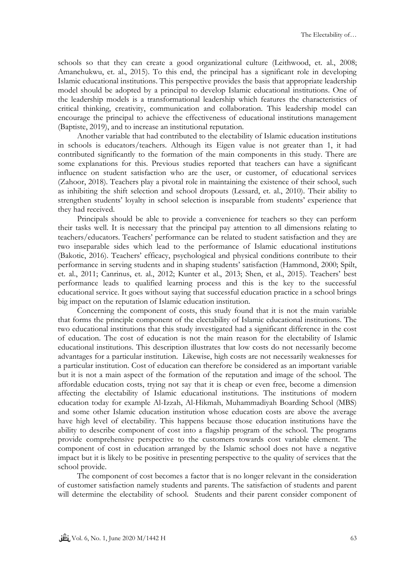schools so that they can create a good organizational culture (Leithwood, et. al., 2008; Amanchukwu, et. al., 2015). To this end, the principal has a significant role in developing Islamic educational institutions. This perspective provides the basis that appropriate leadership model should be adopted by a principal to develop Islamic educational institutions. One of the leadership models is a transformational leadership which features the characteristics of critical thinking, creativity, communication and collaboration. This leadership model can encourage the principal to achieve the effectiveness of educational institutions management (Baptiste, 2019), and to increase an institutional reputation.

Another variable that had contributed to the electability of Islamic education institutions in schools is educators/teachers. Although its Eigen value is not greater than 1, it had contributed significantly to the formation of the main components in this study. There are some explanations for this. Previous studies reported that teachers can have a significant influence on student satisfaction who are the user, or customer, of educational services (Zahoor, 2018). Teachers play a pivotal role in maintaining the existence of their school, such as inhibiting the shift selection and school dropouts (Lessard, et. al., 2010). Their ability to strengthen students' loyalty in school selection is inseparable from students' experience that they had received.

Principals should be able to provide a convenience for teachers so they can perform their tasks well. It is necessary that the principal pay attention to all dimensions relating to teachers/educators. Teachers' performance can be related to student satisfaction and they are two inseparable sides which lead to the performance of Islamic educational institutions (Bakotic, 2016). Teachers' efficacy, psychological and physical conditions contribute to their performance in serving students and in shaping students' satisfaction (Hammond, 2000; Spilt, et. al., 2011; Canrinus, et. al., 2012; Kunter et al., 2013; Shen, et al., 2015). Teachers' best performance leads to qualified learning process and this is the key to the successful educational service. It goes without saying that successful education practice in a school brings big impact on the reputation of Islamic education institution.

Concerning the component of costs, this study found that it is not the main variable that forms the principle component of the electability of Islamic educational institutions. The two educational institutions that this study investigated had a significant difference in the cost of education. The cost of education is not the main reason for the electability of Islamic educational institutions. This description illustrates that low costs do not necessarily become advantages for a particular institution. Likewise, high costs are not necessarily weaknesses for a particular institution. Cost of education can therefore be considered as an important variable but it is not a main aspect of the formation of the reputation and image of the school. The affordable education costs, trying not say that it is cheap or even free, become a dimension affecting the electability of Islamic educational institutions. The institutions of modern education today for example Al-Izzah, Al-Hikmah, Muhammadiyah Boarding School (MBS) and some other Islamic education institution whose education costs are above the average have high level of electability. This happens because those education institutions have the ability to describe component of cost into a flagship program of the school. The programs provide comprehensive perspective to the customers towards cost variable element. The component of cost in education arranged by the Islamic school does not have a negative impact but it is likely to be positive in presenting perspective to the quality of services that the school provide.

The component of cost becomes a factor that is no longer relevant in the consideration of customer satisfaction namely students and parents. The satisfaction of students and parent will determine the electability of school. Students and their parent consider component of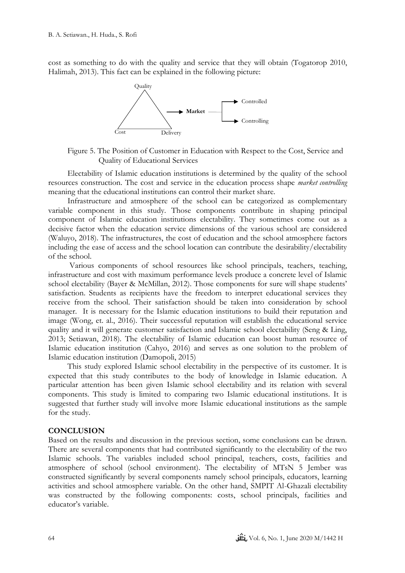cost as something to do with the quality and service that they will obtain (Togatorop 2010, Halimah, 2013). This fact can be explained in the following picture:



Figure 5. The Position of Customer in Education with Respect to the Cost, Service and Quality of Educational Services

Electability of Islamic education institutions is determined by the quality of the school resources construction. The cost and service in the education process shape *market controlling*  meaning that the educational institutions can control their market share.

Infrastructure and atmosphere of the school can be categorized as complementary variable component in this study. Those components contribute in shaping principal component of Islamic education institutions electability. They sometimes come out as a decisive factor when the education service dimensions of the various school are considered (Waluyo, 2018). The infrastructures, the cost of education and the school atmosphere factors including the ease of access and the school location can contribute the desirability/electability of the school.

Various components of school resources like school principals, teachers, teaching, infrastructure and cost with maximum performance levels produce a concrete level of Islamic school electability (Bayer & McMillan, 2012). Those components for sure will shape students' satisfaction. Students as recipients have the freedom to interpret educational services they receive from the school. Their satisfaction should be taken into consideration by school manager. It is necessary for the Islamic education institutions to build their reputation and image (Wong, et. al., 2016). Their successful reputation will establish the educational service quality and it will generate customer satisfaction and Islamic school electability (Seng & Ling, 2013; Setiawan, 2018). The electability of Islamic education can boost human resource of Islamic education institution (Cahyo, 2016) and serves as one solution to the problem of Islamic education institution (Damopoli, 2015)

This study explored Islamic school electability in the perspective of its customer. It is expected that this study contributes to the body of knowledge in Islamic education. A particular attention has been given Islamic school electability and its relation with several components. This study is limited to comparing two Islamic educational institutions. It is suggested that further study will involve more Islamic educational institutions as the sample for the study.

### **CONCLUSION**

Based on the results and discussion in the previous section, some conclusions can be drawn. There are several components that had contributed significantly to the electability of the two Islamic schools. The variables included school principal, teachers, costs, facilities and atmosphere of school (school environment). The electability of MTsN 5 Jember was constructed significantly by several components namely school principals, educators, learning activities and school atmosphere variable. On the other hand, SMPIT Al-Ghazali electability was constructed by the following components: costs, school principals, facilities and educator's variable.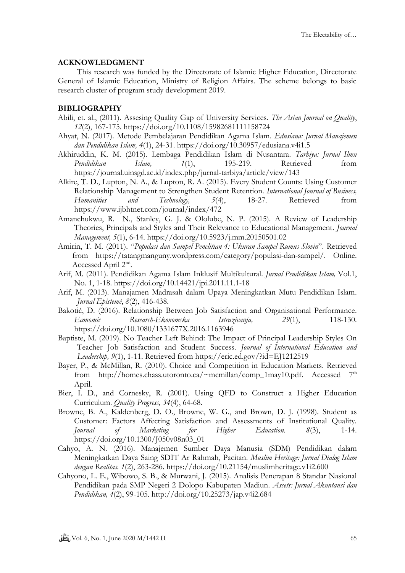## **ACKNOWLEDGMENT**

This research was funded by the Directorate of Islamic Higher Education, Directorate General of Islamic Education, Ministry of Religion Affairs. The scheme belongs to basic research cluster of program study development 2019.

# **BIBLIOGRAPHY**

- Abili, et. al., (2011). Assesing Quality Gap of University Services. *The Asian Journal on Quality*, *12*(2), 167-175. https://doi.org/10.1108/15982681111158724
- Ahyat, N. (2017). Metode Pembelajaran Pendidikan Agama Islam. *Edusiana: Jurnal Manajemen dan Pendidikan Islam, 4*(1), 24-31. https://doi.org/10.30957/edusiana.v4i1.5
- Akhiruddin, K. M. (2015). Lembaga Pendidikan Islam di Nusantara. *Tarbiya: Jurnal Ilmu*  Pendidikan Islam, 1(1), 195-219. Retrieved from https://journal.uinsgd.ac.id/index.php/jurnal-tarbiya/article/view/143
- Alkire, T. D., Lupton, N. A., & Lupton, R. A. (2015). Every Student Counts: Using Customer Relationship Management to Strengthen Student Retention. *International Journal of Business, Humanities and Technology, 5*(4), 18-27. Retrieved from https://www.ijbhtnet.com/journal/index/472
- Amanchukwu, R. N., Stanley, G. J. & Ololube, N. P. (2015). A Review of Leadership Theories, Principals and Styles and Their Relevance to Educational Management. *Journal Management, 5*(1), 6-14. https://doi.org/10.5923/j.mm.20150501.02
- Amirin, T. M. (2011). "*Populasi dan Sampel Penelitian 4: Ukuran Sampel Rumus Slovin*". Retrieved from [https://tatangmanguny.wordpress.com/category/populasi-dan-sampel/.](https://tatangmanguny.wordpress.com/category/populasi-dan-sampel/) Online. Accessed April 2<sup>nd</sup>.
- Arif, M. (2011). Pendidikan Agama Islam Inklusif Multikultural. *Jurnal Pendidikan Islam,* Vol.1, No. 1, 1-18. https://doi.org/10.14421/jpi.2011.11.1-18
- Arif, M. (2013). Manajamen Madrasah dalam Upaya Meningkatkan Mutu Pendidikan Islam. *Jurnal Epistemé*, *8*(2), 416-438.
- Bakotić, D. (2016). Relationship Between Job Satisfaction and Organisational Performance. *Economic Research-Ekonomska Istrazivanja, 29*(1), 118-130. https://doi.org/10.1080/1331677X.2016.1163946
- Baptiste, M. (2019). No Teacher Left Behind: The Impact of Principal Leadership Styles On Teacher Job Satisfaction and Student Success. *Journal of International Education and Leadership, 9*(1), 1-11. Retrieved from https://eric.ed.gov/?id=EJ1212519
- Bayer, P., & McMillan, R. (2010). Choice and Competition in Education Markets. Retrieved from [http://homes.chass.utoronto.ca/~mcmillan/comp\\_1may10.pdf.](http://homes.chass.utoronto.ca/~mcmillan/comp_1may10.pdf) Accessed  $7<sup>th</sup>$ April.
- Bier, I. D., and Cornesky, R. (2001). Using QFD to Construct a Higher Education Curriculum. *Quality Progress, 34*(4), 64-68.
- Browne, B. A., Kaldenberg, D. O., Browne, W. G., and Brown, D. J. (1998). Student as Customer: Factors Affecting Satisfaction and Assessments of Institutional Quality. *Journal of Marketing for Higher Education. 8*(3), 1-14. https://doi.org/10.1300/J050v08n03\_01
- Cahyo, A. N. (2016). Manajemen Sumber Daya Manusia (SDM) Pendidikan dalam Meningkatkan Daya Saing SDIT Ar Rahmah, Pacitan. *Muslim Heritage: Jurnal Dialog Islam dengan Realitas. 1*(2), 263-286. https://doi.org/10.21154/muslimheritage.v1i2.600
- Cahyono, L. E., Wibowo, S. B., & Murwani, J. (2015). Analisis Penerapan 8 Standar Nasional Pendidikan pada SMP Negeri 2 Dolopo Kabupaten Madiun. *Assets: Jurnal Akuntansi dan Pendidikan, 4*(2), 99-105. http://doi.org/10.25273/jap.v4i2.684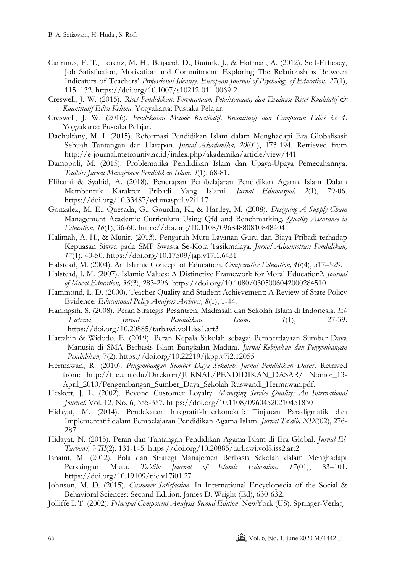- Canrinus, E. T., Lorenz, M. H., Beijaard, D., Buitink, J., & Hofman, A. (2012). Self-Efficacy, Job Satisfaction, Motivation and Commitment: Exploring The Relationships Between Indicators of Teachers' *Professional Identity. European Journal of Psychology of Education, 27*(1), 115–132. https://doi.org/10.1007/s10212-011-0069-2
- Creswell, J. W. (2015). *Riset Pendidikan: Perencanaan, Pelaksanaan, dan Evaluasi Riset Kualitatif & Kuantitatif Edisi Kelima*. Yogyakarta: Pustaka Pelajar.
- Creswell, J. W. (2016). *Pendekatan Metode Kualitatif, Kuantitatif dan Campuran Edisi ke 4*. Yogyakarta: Pustaka Pelajar.
- Dacholfany, M. I. (2015). Reformasi Pendidikan Islam dalam Menghadapi Era Globalisasi: Sebuah Tantangan dan Harapan. *Jurnal Akademika, 20*(01), 173-194. Retrieved from http://e-journal.metrouniv.ac.id/index.php/akademika/article/view/441
- Damopoli, M. (2015). Problematika Pendidikan Islam dan Upaya-Upaya Pemecahannya. *Tadbir: Jurnal Manajemen Pendidikan Islam, 3*(1), 68-81.
- Elihami & Syahid, A. (2018). Penerapan Pembelajaran Pendidikan Agama Islam Dalam Membentuk Karakter Pribadi Yang Islami. *Jurnal Edumaspul, 2*(1), 79-06. https://doi.org/10.33487/edumaspul.v2i1.17
- Gonzalez, M. E., Quesada, G., Gourdin, K., & Hartley, M. (2008). *Designing A Supply Chain*  Management Academic Curriculum Using Qfd and Benchmarking. *Quality Assurance in Education, 16*(1), 36-60. https://doi.org/10.1108/09684880810848404
- Halimah, A. H., & Munir. (2013). Pengaruh Mutu Layanan Guru dan Biaya Pribadi terhadap Kepuasan Siswa pada SMP Swasta Se-Kota Tasikmalaya*. Jurnal Administrasi Pendidikan, 17*(1), 40-50. https://doi.org/10.17509/jap.v17i1.6431
- Halstead, M. (2004). An Islamic Concept of Education. *Comparative Education, 40*(4), 517–529.
- Halstead, J. M. (2007). Islamic Values: A Distinctive Framework for Moral Education?. *Journal of Moral Education, 36*(3), 283-296. https://doi.org/10.1080/0305006042000284510
- Hammond, L. D. (2000). Teacher Quality and Student Achievement: A Review of State Policy Evidence. *Educational Policy Analysis Archives, 8*(1), 1-44.
- Haningsih, S. (2008). Peran Strategis Pesantren, Madrasah dan Sekolah Islam di Indonesia. *El-Tarbawi Jurnal Pendidikan Islam, 1*(1), 27-39. https://doi.org/10.20885/tarbawi.vol1.iss1.art3
- Hattahin & Widodo, E. (2019). Peran Kepala Sekolah sebagai Pemberdayaan Sumber Daya Manusia di SMA Berbasis Islam Bangkalan Madura. *Jurnal Kebijakan dan Pengembangan Pendidikan,* 7(2). https://doi.org/10.22219/jkpp.v7i2.12055
- Hermawan, R. (2010). *Pengembangan Sumber Daya Sekolah. Jurnal Pendidikan Dasar*. Retrived from: http://file.upi.edu/Direktori/JURNAL/PENDIDIKAN\_DASAR/ Nomor\_13- April\_2010/Pengembangan\_Sumber\_Daya\_Sekolah-Ruswandi\_Hermawan.pdf.
- Heskett, J. L. (2002). Beyond Customer Loyalty. *Managing Service Quality: An International Journal.* Vol. 12, No. 6, 355-357. https://doi.org/10.1108/09604520210451830
- Hidayat, M. (2014). Pendekatan Integratif-Interkonektif: Tinjauan Paradigmatik dan Implementatif dalam Pembelajaran Pendidikan Agama Islam. *Jurnal Ta'dib, XIX*(02), 276- 287.
- Hidayat, N. (2015). Peran dan Tantangan Pendidikan Agama Islam di Era Global. *Jurnal El-Tarbawi, VIII*(2), 131-145. https://doi.org/10.20885/tarbawi.vol8.iss2.art2
- Isnaini, M. (2012). Pola dan Strategi Manajemen Berbasis Sekolah dalam Menghadapi Persaingan Mutu. *Ta'dib: Journal of Islamic Education, 17*(01), 83–101. https://doi.org/10.19109/tjie.v17i01.27
- Johnson, M. D. (2015). *Customer Satisfaction*. In International Encyclopedia of the Social & Behavioral Sciences: Second Edition. James D. Wright (Ed), 630-632.
- Jolliffe I. T. (2002)*. Principal Component Analysis Second Edition*. NewYork (US): Springer-Verlag.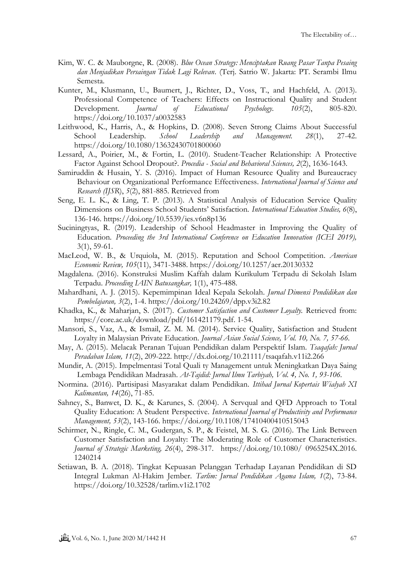- Kim, W. C. & Mauborgne, R. (2008). *Blue Ocean Strategy: Menciptakan Ruang Pasar Tanpa Pesaing dan Menjadikan Persaingan Tidak Lagi Relevan*. (Terj. Satrio W. Jakarta: PT. Serambi Ilmu Semesta.
- Kunter, M., Klusmann, U., Baumert, J., Richter, D., Voss, T., and Hachfeld, A. (2013). Professional Competence of Teachers: Effects on Instructional Quality and Student Development. *Journal of Educational Psychology. 105*(2), 805-820. https://doi.org/10.1037/a0032583
- Leithwood, K., Harris, A., & Hopkins, D. (2008). Seven Strong Claims About Successful School Leadership. *School Leadership and Management. 28*(1), 27-42. https://doi.org/10.1080/13632430701800060
- Lessard, A., Poirier, M., & Fortin, L. (2010). Student-Teacher Relationship: A Protective Factor Against School Dropout?. *Procedia - Social and Behavioral Sciences, 2*(2), 1636-1643.
- Samiruddin & Husain, Y. S. (2016). Impact of Human Resource Quality and Bureaucracy Behaviour on Organizational Performance Effectiveness. *International Journal of Science and Research (IJSR*), *5*(2), 881-885. Retrieved from
- Seng, E. L. K., & Ling, T. P. (2013). A Statistical Analysis of Education Service Quality Dimensions on Business School Students' Satisfaction. *International Education Studies, 6*(8), 136-146. https://doi.org/10.5539/ies.v6n8p136
- Suciningtyas, R. (2019). Leadership of School Headmaster in Improving the Quality of Education. *Proceeding the 3rd International Conference on Education Innovation (ICEI 2019),*  3(1), 59-61.
- MacLeod, W. B., & Urquiola, M. (2015). Reputation and School Competition. *American Economic Review, 105*(11), 3471-3488. https://doi.org/10.1257/aer.20130332
- Magdalena. (2016). Konstruksi Muslim Kaffah dalam Kurikulum Terpadu di Sekolah Islam Terpadu. *Proceeding IAIN Batusangkar,* 1(1), 475-488.
- Mahardhani, A. J. (2015). Kepemimpinan Ideal Kepala Sekolah. *Jurnal Dimensi Pendidikan dan Pembelajaran, 3*(2), 1-4. https://doi.org/10.24269/dpp.v3i2.82
- Khadka, K., & Maharjan, S. (2017). *Customer Satisfaction and Customer Loyalty.* Retrieved from: [https://core.ac.uk/download/pdf/161421179.pdf.](https://core.ac.uk/download/pdf/161421179.pdf) 1-54.
- Mansori, S., Vaz, A., & Ismail, Z. M. M. (2014). Service Quality, Satisfaction and Student Loyalty in Malaysian Private Education. *Journal Asian Social Science, Vol. 10, No. 7, 57-66.*
- May, A. (2015). Melacak Peranan Tujuan Pendidikan dalam Perspektif Islam. *Tsaqafah: Jurnal Peradaban Islam, 11*(2), 209-222. http://dx.doi.org/10.21111/tsaqafah.v11i2.266
- Mundir, A. (2015). Impelmentasi Total Quali ty Management untuk Meningkatkan Daya Saing Lembaga Pendidikan Madrasah. *At-Tajdid: Jurnal Ilmu Tarbiyah, Vol. 4, No. 1, 93-106.*
- Normina. (2016). Partisipasi Masyarakat dalam Pendidikan. *Ittihad Jurnal Kopertais Wialyah XI Kalimantan, 14*(26), 71-85.
- Sahney, S., Banwet, D. K., & Karunes, S. (2004). A Servqual and QFD Approach to Total Quality Education: A Student Perspective. *International Journal of Productivity and Performance Management, 53*(2), 143-166. https://doi.org/10.1108/17410400410515043
- Schirmer, N., Ringle, C. M., Gudergan, S. P., & Feistel, M. S. G. (2016). The Link Between Customer Satisfaction and Loyalty: The Moderating Role of Customer Characteristics. *Journal of Strategic Marketing, 26*(4), 298-317. https://doi.org/10.1080/ 0965254X.2016. 1240214
- Setiawan, B. A. (2018). Tingkat Kepuasan Pelanggan Terhadap Layanan Pendidikan di SD Integral Lukman Al-Hakim Jember. *Tarlim: Jurnal Pendidikan Agama Islam, 1*(2), 73-84. https://doi.org/10.32528/tarlim.v1i2.1702